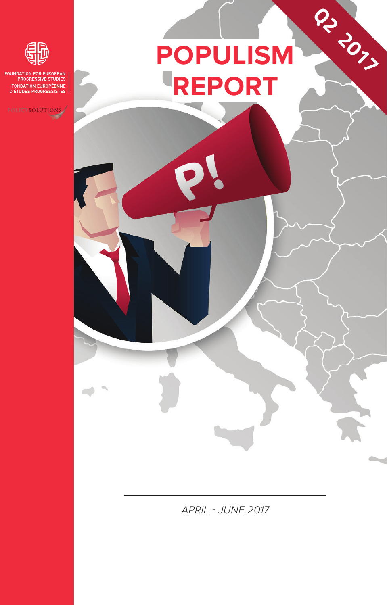# **PoPuliSm rePort**

**Q2 2017**



**DATION FOR EUROPEAN**<br>PROGRESSIVE STUDIES FOUNDSTILE STOCKED<br>D'ÉTUDES PROGRESSISTES

POLICYSOLUTIONS

*APRIL - JUNE 2017*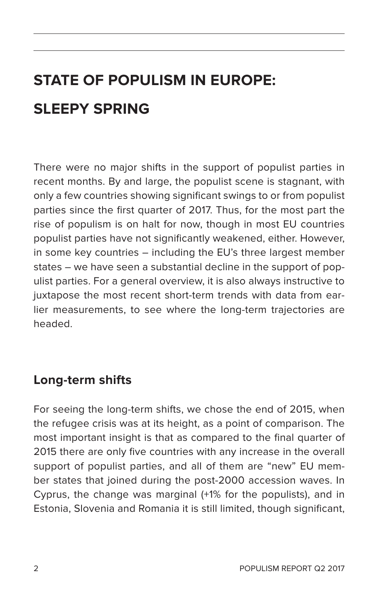### **State of Populism in Europe: Sleepy Spring**

There were no major shifts in the support of populist parties in recent months. By and large, the populist scene is stagnant, with only a few countries showing significant swings to or from populist parties since the first quarter of 2017. Thus, for the most part the rise of populism is on halt for now, though in most EU countries populist parties have not significantly weakened, either. However, in some key countries – including the EU's three largest member states – we have seen a substantial decline in the support of populist parties. For a general overview, it is also always instructive to juxtapose the most recent short-term trends with data from earlier measurements, to see where the long-term trajectories are headed.

#### **Long-term shifts**

For seeing the long-term shifts, we chose the end of 2015, when the refugee crisis was at its height, as a point of comparison. The most important insight is that as compared to the final quarter of 2015 there are only five countries with any increase in the overall support of populist parties, and all of them are "new" EU member states that joined during the post-2000 accession waves. In Cyprus, the change was marginal (+1% for the populists), and in Estonia, Slovenia and Romania it is still limited, though significant,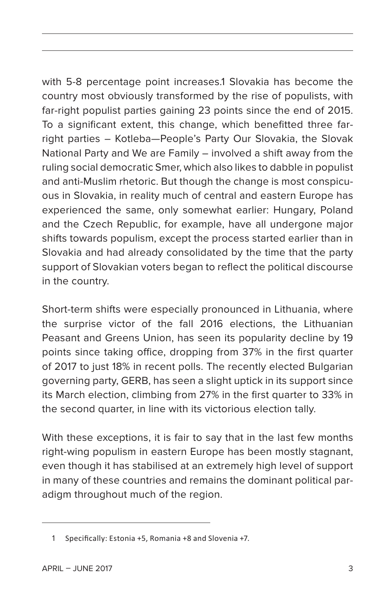with 5-8 percentage point increases.1 Slovakia has become the country most obviously transformed by the rise of populists, with far-right populist parties gaining 23 points since the end of 2015. To a significant extent, this change, which benefitted three farright parties – Kotleba—People's Party Our Slovakia, the Slovak National Party and We are Family – involved a shift away from the ruling social democratic Smer, which also likes to dabble in populist and anti-Muslim rhetoric. But though the change is most conspicuous in Slovakia, in reality much of central and eastern Europe has experienced the same, only somewhat earlier: Hungary, Poland and the Czech Republic, for example, have all undergone major shifts towards populism, except the process started earlier than in Slovakia and had already consolidated by the time that the party support of Slovakian voters began to reflect the political discourse in the country.

Short-term shifts were especially pronounced in Lithuania, where the surprise victor of the fall 2016 elections, the Lithuanian Peasant and Greens Union, has seen its popularity decline by 19 points since taking office, dropping from 37% in the first quarter of 2017 to just 18% in recent polls. The recently elected Bulgarian governing party, GERB, has seen a slight uptick in its support since its March election, climbing from 27% in the first quarter to 33% in the second quarter, in line with its victorious election tally.

With these exceptions, it is fair to say that in the last few months right-wing populism in eastern Europe has been mostly stagnant, even though it has stabilised at an extremely high level of support in many of these countries and remains the dominant political paradigm throughout much of the region.

<sup>1</sup> Specifically: Estonia +5, Romania +8 and Slovenia +7.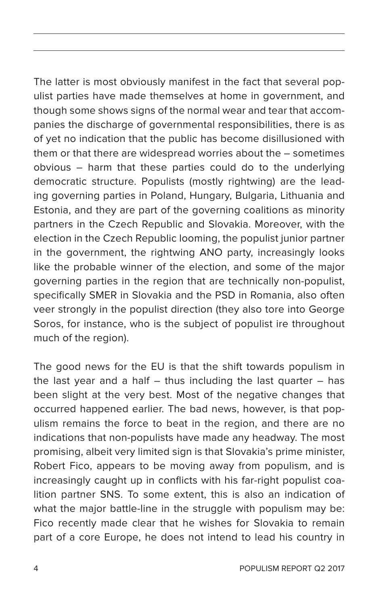The latter is most obviously manifest in the fact that several populist parties have made themselves at home in government, and though some shows signs of the normal wear and tear that accompanies the discharge of governmental responsibilities, there is as of yet no indication that the public has become disillusioned with them or that there are widespread worries about the – sometimes obvious – harm that these parties could do to the underlying democratic structure. Populists (mostly rightwing) are the leading governing parties in Poland, Hungary, Bulgaria, Lithuania and Estonia, and they are part of the governing coalitions as minority partners in the Czech Republic and Slovakia. Moreover, with the election in the Czech Republic looming, the populist junior partner in the government, the rightwing ANO party, increasingly looks like the probable winner of the election, and some of the major governing parties in the region that are technically non-populist, specifically SMER in Slovakia and the PSD in Romania, also often veer strongly in the populist direction (they also tore into George Soros, for instance, who is the subject of populist ire throughout much of the region).

The good news for the EU is that the shift towards populism in the last year and a half – thus including the last quarter – has been slight at the very best. Most of the negative changes that occurred happened earlier. The bad news, however, is that populism remains the force to beat in the region, and there are no indications that non-populists have made any headway. The most promising, albeit very limited sign is that Slovakia's prime minister, Robert Fico, appears to be moving away from populism, and is increasingly caught up in conflicts with his far-right populist coalition partner SNS. To some extent, this is also an indication of what the major battle-line in the struggle with populism may be: Fico recently made clear that he wishes for Slovakia to remain part of a core Europe, he does not intend to lead his country in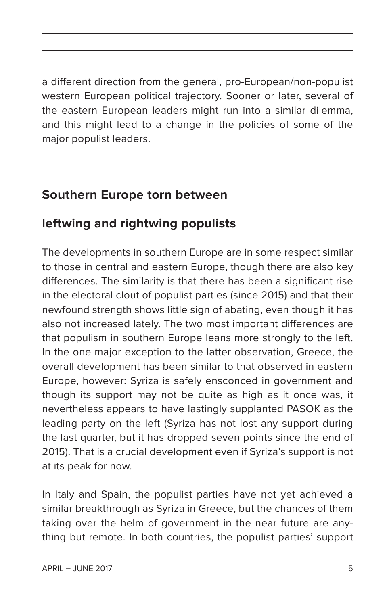a different direction from the general, pro-European/non-populist western European political trajectory. Sooner or later, several of the eastern European leaders might run into a similar dilemma, and this might lead to a change in the policies of some of the major populist leaders.

#### **Southern Europe torn between**

#### **leftwing and rightwing populists**

The developments in southern Europe are in some respect similar to those in central and eastern Europe, though there are also key differences. The similarity is that there has been a significant rise in the electoral clout of populist parties (since 2015) and that their newfound strength shows little sign of abating, even though it has also not increased lately. The two most important differences are that populism in southern Europe leans more strongly to the left. In the one major exception to the latter observation, Greece, the overall development has been similar to that observed in eastern Europe, however: Syriza is safely ensconced in government and though its support may not be quite as high as it once was, it nevertheless appears to have lastingly supplanted PASOK as the leading party on the left (Syriza has not lost any support during the last quarter, but it has dropped seven points since the end of 2015). That is a crucial development even if Syriza's support is not at its peak for now.

In Italy and Spain, the populist parties have not yet achieved a similar breakthrough as Syriza in Greece, but the chances of them taking over the helm of government in the near future are anything but remote. In both countries, the populist parties' support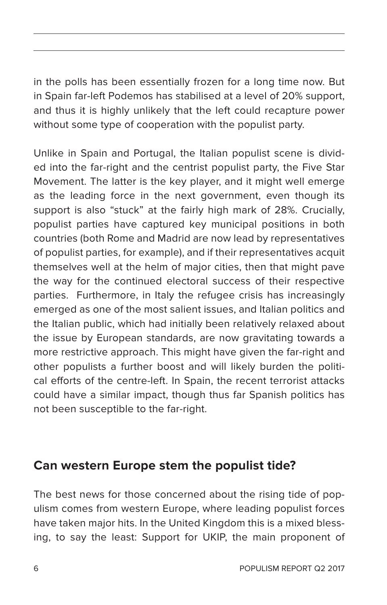in the polls has been essentially frozen for a long time now. But in Spain far-left Podemos has stabilised at a level of 20% support, and thus it is highly unlikely that the left could recapture power without some type of cooperation with the populist party.

Unlike in Spain and Portugal, the Italian populist scene is divided into the far-right and the centrist populist party, the Five Star Movement. The latter is the key player, and it might well emerge as the leading force in the next government, even though its support is also "stuck" at the fairly high mark of 28%. Crucially, populist parties have captured key municipal positions in both countries (both Rome and Madrid are now lead by representatives of populist parties, for example), and if their representatives acquit themselves well at the helm of major cities, then that might pave the way for the continued electoral success of their respective parties. Furthermore, in Italy the refugee crisis has increasingly emerged as one of the most salient issues, and Italian politics and the Italian public, which had initially been relatively relaxed about the issue by European standards, are now gravitating towards a more restrictive approach. This might have given the far-right and other populists a further boost and will likely burden the political efforts of the centre-left. In Spain, the recent terrorist attacks could have a similar impact, though thus far Spanish politics has not been susceptible to the far-right.

#### **Can western Europe stem the populist tide?**

The best news for those concerned about the rising tide of populism comes from western Europe, where leading populist forces have taken major hits. In the United Kingdom this is a mixed blessing, to say the least: Support for UKIP, the main proponent of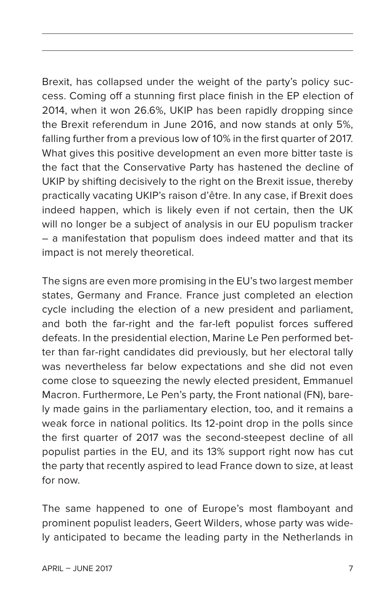Brexit, has collapsed under the weight of the party's policy success. Coming off a stunning first place finish in the EP election of 2014, when it won 26.6%, UKIP has been rapidly dropping since the Brexit referendum in June 2016, and now stands at only 5%, falling further from a previous low of 10% in the first quarter of 2017. What gives this positive development an even more bitter taste is the fact that the Conservative Party has hastened the decline of UKIP by shifting decisively to the right on the Brexit issue, thereby practically vacating UKIP's raison d'être. In any case, if Brexit does indeed happen, which is likely even if not certain, then the UK will no longer be a subject of analysis in our EU populism tracker – a manifestation that populism does indeed matter and that its impact is not merely theoretical.

The signs are even more promising in the EU's two largest member states, Germany and France. France just completed an election cycle including the election of a new president and parliament, and both the far-right and the far-left populist forces suffered defeats. In the presidential election, Marine Le Pen performed better than far-right candidates did previously, but her electoral tally was nevertheless far below expectations and she did not even come close to squeezing the newly elected president, Emmanuel Macron. Furthermore, Le Pen's party, the Front national (FN), barely made gains in the parliamentary election, too, and it remains a weak force in national politics. Its 12-point drop in the polls since the first quarter of 2017 was the second-steepest decline of all populist parties in the EU, and its 13% support right now has cut the party that recently aspired to lead France down to size, at least for now.

The same happened to one of Europe's most flamboyant and prominent populist leaders, Geert Wilders, whose party was widely anticipated to became the leading party in the Netherlands in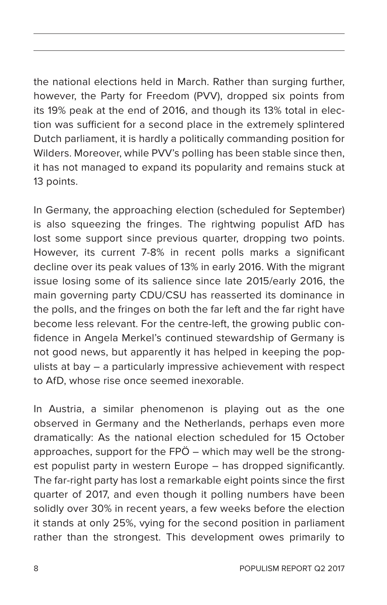the national elections held in March. Rather than surging further, however, the Party for Freedom (PVV), dropped six points from its 19% peak at the end of 2016, and though its 13% total in election was sufficient for a second place in the extremely splintered Dutch parliament, it is hardly a politically commanding position for Wilders. Moreover, while PVV's polling has been stable since then, it has not managed to expand its popularity and remains stuck at 13 points.

In Germany, the approaching election (scheduled for September) is also squeezing the fringes. The rightwing populist AfD has lost some support since previous quarter, dropping two points. However, its current 7-8% in recent polls marks a significant decline over its peak values of 13% in early 2016. With the migrant issue losing some of its salience since late 2015/early 2016, the main governing party CDU/CSU has reasserted its dominance in the polls, and the fringes on both the far left and the far right have become less relevant. For the centre-left, the growing public confidence in Angela Merkel's continued stewardship of Germany is not good news, but apparently it has helped in keeping the populists at bay – a particularly impressive achievement with respect to AfD, whose rise once seemed inexorable.

In Austria, a similar phenomenon is playing out as the one observed in Germany and the Netherlands, perhaps even more dramatically: As the national election scheduled for 15 October approaches, support for the FPÖ – which may well be the strongest populist party in western Europe – has dropped significantly. The far-right party has lost a remarkable eight points since the first quarter of 2017, and even though it polling numbers have been solidly over 30% in recent years, a few weeks before the election it stands at only 25%, vying for the second position in parliament rather than the strongest. This development owes primarily to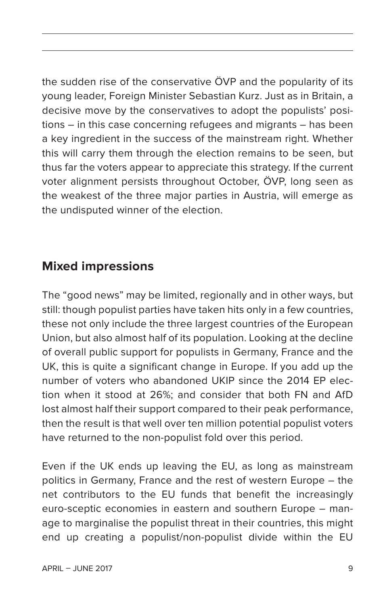the sudden rise of the conservative ÖVP and the popularity of its young leader, Foreign Minister Sebastian Kurz. Just as in Britain, a decisive move by the conservatives to adopt the populists' positions – in this case concerning refugees and migrants – has been a key ingredient in the success of the mainstream right. Whether this will carry them through the election remains to be seen, but thus far the voters appear to appreciate this strategy. If the current voter alignment persists throughout October, ÖVP, long seen as the weakest of the three major parties in Austria, will emerge as the undisputed winner of the election.

#### **Mixed impressions**

The "good news" may be limited, regionally and in other ways, but still: though populist parties have taken hits only in a few countries, these not only include the three largest countries of the European Union, but also almost half of its population. Looking at the decline of overall public support for populists in Germany, France and the UK, this is quite a significant change in Europe. If you add up the number of voters who abandoned UKIP since the 2014 EP election when it stood at 26%; and consider that both FN and AfD lost almost half their support compared to their peak performance, then the result is that well over ten million potential populist voters have returned to the non-populist fold over this period.

Even if the UK ends up leaving the EU, as long as mainstream politics in Germany, France and the rest of western Europe – the net contributors to the EU funds that benefit the increasingly euro-sceptic economies in eastern and southern Europe – manage to marginalise the populist threat in their countries, this might end up creating a populist/non-populist divide within the EU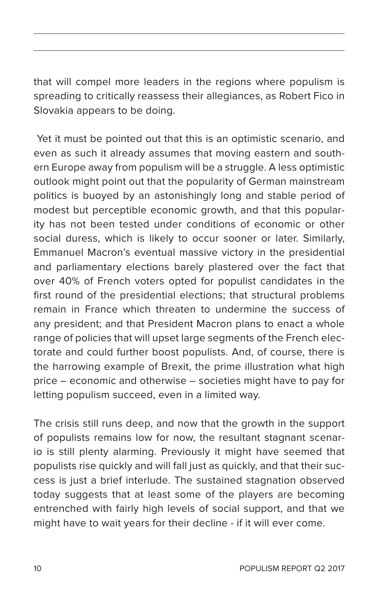that will compel more leaders in the regions where populism is spreading to critically reassess their allegiances, as Robert Fico in Slovakia appears to be doing.

 Yet it must be pointed out that this is an optimistic scenario, and even as such it already assumes that moving eastern and southern Europe away from populism will be a struggle. A less optimistic outlook might point out that the popularity of German mainstream politics is buoyed by an astonishingly long and stable period of modest but perceptible economic growth, and that this popularity has not been tested under conditions of economic or other social duress, which is likely to occur sooner or later. Similarly, Emmanuel Macron's eventual massive victory in the presidential and parliamentary elections barely plastered over the fact that over 40% of French voters opted for populist candidates in the first round of the presidential elections; that structural problems remain in France which threaten to undermine the success of any president; and that President Macron plans to enact a whole range of policies that will upset large segments of the French electorate and could further boost populists. And, of course, there is the harrowing example of Brexit, the prime illustration what high price – economic and otherwise – societies might have to pay for letting populism succeed, even in a limited way.

The crisis still runs deep, and now that the growth in the support of populists remains low for now, the resultant stagnant scenario is still plenty alarming. Previously it might have seemed that populists rise quickly and will fall just as quickly, and that their success is just a brief interlude. The sustained stagnation observed today suggests that at least some of the players are becoming entrenched with fairly high levels of social support, and that we might have to wait years for their decline - if it will ever come.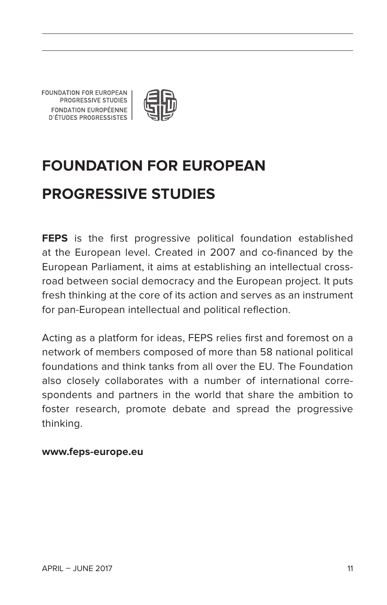FOUNDATION FOR EUROPEAN PROGRESSIVE STUDIES FONDATION EUROPÉENNE **D'ÉTUDES PROGRESSISTES** 



## **Foundation for European Progressive Studies**

**FEPS** is the first progressive political foundation established at the European level. Created in 2007 and co-financed by the European Parliament, it aims at establishing an intellectual crossroad between social democracy and the European project. It puts fresh thinking at the core of its action and serves as an instrument for pan-European intellectual and political reflection.

Acting as a platform for ideas, FEPS relies first and foremost on a network of members composed of more than 58 national political foundations and think tanks from all over the EU. The Foundation also closely collaborates with a number of international correspondents and partners in the world that share the ambition to foster research, promote debate and spread the progressive thinking.

#### **www.feps-europe.eu**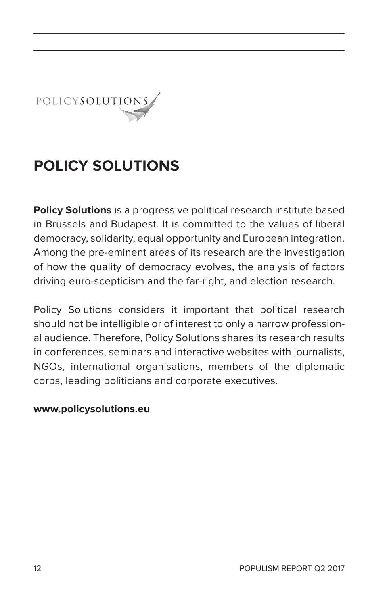POLICYSOLUTIONS

### **PoliCy SolutionS**

**Policy Solutions** is a progressive political research institute based in Brussels and Budapest. It is committed to the values of liberal democracy, solidarity, equal opportunity and European integration. Among the pre-eminent areas of its research are the investigation of how the quality of democracy evolves, the analysis of factors driving euro-scepticism and the far-right, and election research.

Policy Solutions considers it important that political research should not be intelligible or of interest to only a narrow professional audience. Therefore, Policy Solutions shares its research results in conferences, seminars and interactive websites with journalists, NGOs, international organisations, members of the diplomatic corps, leading politicians and corporate executives.

#### **www.policysolutions.eu**